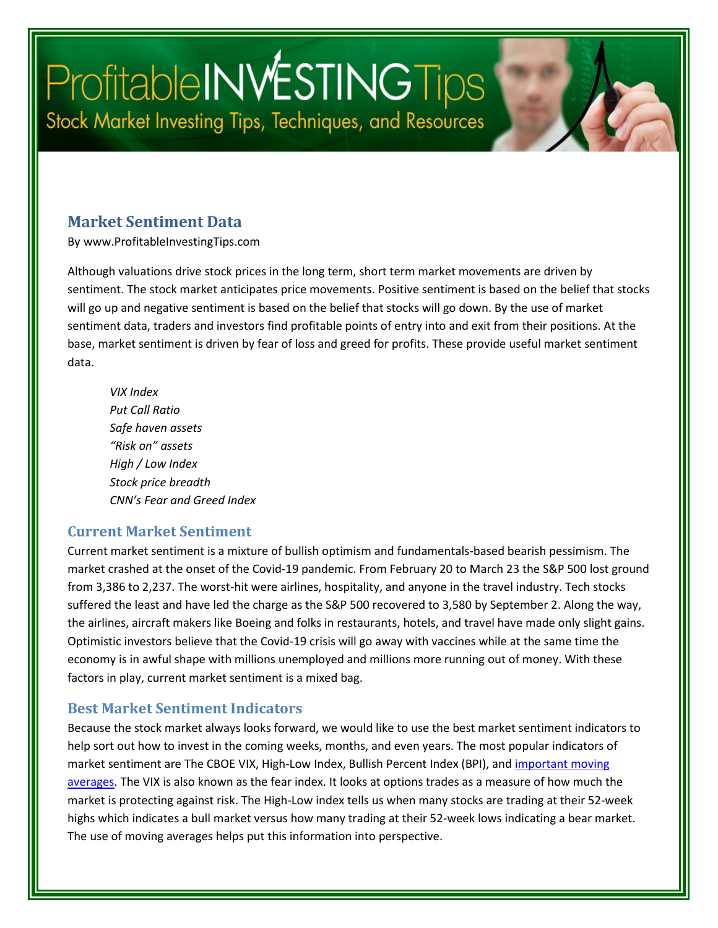# Profitable INVESTING Tips Stock Market Investing Tips, Techniques, and Resources

#### **Market Sentiment Data**

By www.ProfitableInvestingTips.com

Although valuations drive stock prices in the long term, short term market movements are driven by sentiment. The stock market anticipates price movements. Positive sentiment is based on the belief that stocks will go up and negative sentiment is based on the belief that stocks will go down. By the use of market sentiment data, traders and investors find profitable points of entry into and exit from their positions. At the base, market sentiment is driven by fear of loss and greed for profits. These provide useful market sentiment data.

*VIX Index Put Call Ratio Safe haven assets "Risk on" assets High / Low Index Stock price breadth CNN's Fear and Greed Index*

#### **Current Market Sentiment**

Current market sentiment is a mixture of bullish optimism and fundamentals-based bearish pessimism. The market crashed at the onset of the Covid-19 pandemic. From February 20 to March 23 the S&P 500 lost ground from 3,386 to 2,237. The worst-hit were airlines, hospitality, and anyone in the travel industry. Tech stocks suffered the least and have led the charge as the S&P 500 recovered to 3,580 by September 2. Along the way, the airlines, aircraft makers like Boeing and folks in restaurants, hotels, and travel have made only slight gains. Optimistic investors believe that the Covid-19 crisis will go away with vaccines while at the same time the economy is in awful shape with millions unemployed and millions more running out of money. With these factors in play, current market sentiment is a mixed bag.

#### **Best Market Sentiment Indicators**

Because the stock market always looks forward, we would like to use the best market sentiment indicators to help sort out how to invest in the coming weeks, months, and even years. The most popular indicators of market sentiment are The CBOE VIX, High-Low Index, Bullish Percent Index (BPI), and important moving [averages.](https://profitableinvestingtips.com/profitable-investing-tips/important-moving-averages) The VIX is also known as the fear index. It looks at options trades as a measure of how much the market is protecting against risk. The High-Low index tells us when many stocks are trading at their 52-week highs which indicates a bull market versus how many trading at their 52-week lows indicating a bear market. The use of moving averages helps put this information into perspective.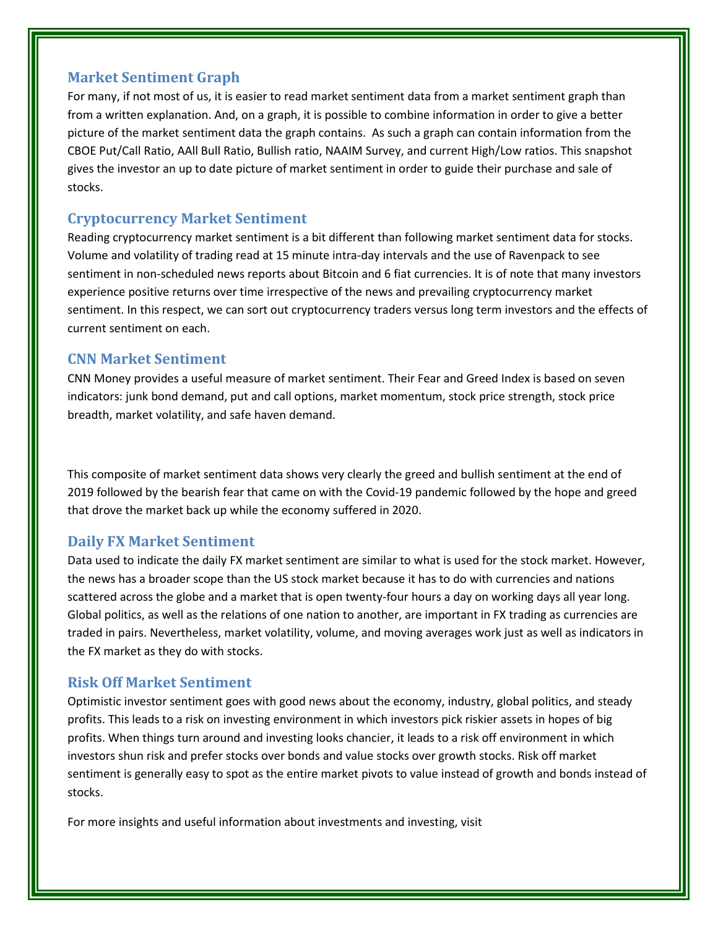#### **Market Sentiment Graph**

For many, if not most of us, it is easier to read market sentiment data from a market sentiment graph than from a written explanation. And, on a graph, it is possible to combine information in order to give a better picture of the market sentiment data the graph contains. As such a graph can contain information from the CBOE Put/Call Ratio, AAll Bull Ratio, Bullish ratio, NAAIM Survey, and current High/Low ratios. This snapshot gives the investor an up to date picture of market sentiment in order to guide their purchase and sale of stocks.

#### **Cryptocurrency Market Sentiment**

Reading cryptocurrency market sentiment is a bit different than following market sentiment data for stocks. Volume and volatility of trading read at 15 minute intra-day intervals and the use of Ravenpack to see sentiment in non-scheduled news reports about Bitcoin and 6 fiat currencies. It is of note that many investors experience positive returns over time irrespective of the news and prevailing cryptocurrency market sentiment. In this respect, we can sort out cryptocurrency traders versus long term investors and the effects of current sentiment on each.

#### **CNN Market Sentiment**

CNN Money provides a useful measure of market sentiment. Their Fear and Greed Index is based on seven indicators: junk bond demand, put and call options, market momentum, stock price strength, stock price breadth, market volatility, and safe haven demand.

This composite of market sentiment data shows very clearly the greed and bullish sentiment at the end of 2019 followed by the bearish fear that came on with the Covid-19 pandemic followed by the hope and greed that drove the market back up while the economy suffered in 2020.

#### **Daily FX Market Sentiment**

Data used to indicate the daily FX market sentiment are similar to what is used for the stock market. However, the news has a broader scope than the US stock market because it has to do with currencies and nations scattered across the globe and a market that is open twenty-four hours a day on working days all year long. Global politics, as well as the relations of one nation to another, are important in FX trading as currencies are traded in pairs. Nevertheless, market volatility, volume, and moving averages work just as well as indicators in the FX market as they do with stocks.

#### **Risk Off Market Sentiment**

Optimistic investor sentiment goes with good news about the economy, industry, global politics, and steady profits. This leads to a risk on investing environment in which investors pick riskier assets in hopes of big profits. When things turn around and investing looks chancier, it leads to a risk off environment in which investors shun risk and prefer stocks over bonds and value stocks over growth stocks. Risk off market sentiment is generally easy to spot as the entire market pivots to value instead of growth and bonds instead of stocks.

For more insights and useful information about investments and investing, visit